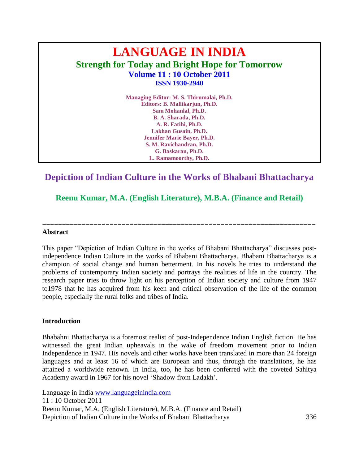# **LANGUAGE IN INDIA Strength for Today and Bright Hope for Tomorrow Volume 11 : 10 October 2011 ISSN 1930-2940**

**Managing Editor: M. S. Thirumalai, Ph.D. Editors: B. Mallikarjun, Ph.D. Sam Mohanlal, Ph.D. B. A. Sharada, Ph.D. A. R. Fatihi, Ph.D. Lakhan Gusain, Ph.D. Jennifer Marie Bayer, Ph.D. S. M. Ravichandran, Ph.D. G. Baskaran, Ph.D. L. Ramamoorthy, Ph.D.**

# **Depiction of Indian Culture in the Works of Bhabani Bhattacharya**

**Reenu Kumar, M.A. (English Literature), M.B.A. (Finance and Retail)**

=====================================================================

#### **Abstract**

This paper "Depiction of Indian Culture in the works of Bhabani Bhattacharya" discusses postindependence Indian Culture in the works of Bhabani Bhattacharya. Bhabani Bhattacharya is a champion of social change and human betterment. In his novels he tries to understand the problems of contemporary Indian society and portrays the realities of life in the country. The research paper tries to throw light on his perception of Indian society and culture from 1947 to1978 that he has acquired from his keen and critical observation of the life of the common people, especially the rural folks and tribes of India.

#### **Introduction**

Bhabahni Bhattacharya is a foremost realist of post-Independence Indian English fiction. He has witnessed the great Indian upheavals in the wake of freedom movement prior to Indian Independence in 1947. His novels and other works have been translated in more than 24 foreign languages and at least 16 of which are European and thus, through the translations, he has attained a worldwide renown. In India, too, he has been conferred with the coveted Sahitya Academy award in 1967 for his novel 'Shadow from Ladakh'.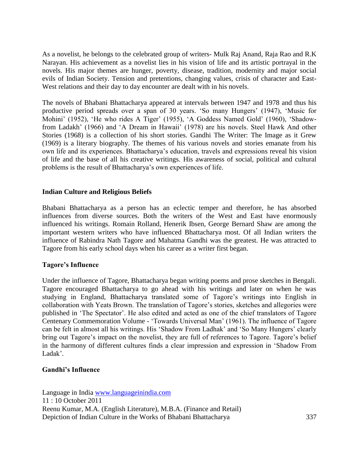As a novelist, he belongs to the celebrated group of writers- Mulk Raj Anand, Raja Rao and R.K Narayan. His achievement as a novelist lies in his vision of life and its artistic portrayal in the novels. His major themes are hunger, poverty, disease, tradition, modernity and major social evils of Indian Society. Tension and pretentions, changing values, crisis of character and East-West relations and their day to day encounter are dealt with in his novels.

The novels of Bhabani Bhattacharya appeared at intervals between 1947 and 1978 and thus his productive period spreads over a span of 30 years. 'So many Hungers' (1947), 'Music for Mohini' (1952), 'He who rides A Tiger' (1955), 'A Goddess Named Gold' (1960), 'Shadowfrom Ladakh' (1966) and 'A Dream in Hawaii' (1978) are his novels. Steel Hawk And other Stories (1968) is a collection of his short stories. Gandhi The Writer: The Image as it Grew (1969) is a literary biography. The themes of his various novels and stories emanate from his own life and its experiences. Bhattacharya's education, travels and expressions reveal his vision of life and the base of all his creative writings. His awareness of social, political and cultural problems is the result of Bhattacharya's own experiences of life.

#### **Indian Culture and Religious Beliefs**

Bhabani Bhattacharya as a person has an eclectic temper and therefore, he has absorbed influences from diverse sources. Both the writers of the West and East have enormously influenced his writings. Romain Rolland, Henerik Ibsen, George Bernard Shaw are among the important western writers who have influenced Bhattacharya most. Of all Indian writers the influence of Rabindra Nath Tagore and Mahatma Gandhi was the greatest. He was attracted to Tagore from his early school days when his career as a writer first began.

#### **Tagore's Influence**

Under the influence of Tagore, Bhattacharya began writing poems and prose sketches in Bengali. Tagore encouraged Bhattacharya to go ahead with his writings and later on when he was studying in England, Bhattacharya translated some of Tagore's writings into English in collaboration with Yeats Brown. The translation of Tagore's stories, sketches and allegories were published in ‗The Spectator'. He also edited and acted as one of the chief translators of Tagore Centenary Commemoration Volume - 'Towards Universal Man' (1961). The influence of Tagore can be felt in almost all his writings. His 'Shadow From Ladhak' and 'So Many Hungers' clearly bring out Tagore's impact on the novelist, they are full of references to Tagore. Tagore's belief in the harmony of different cultures finds a clear impression and expression in 'Shadow From Ladak'.

#### **Gandhi's Influence**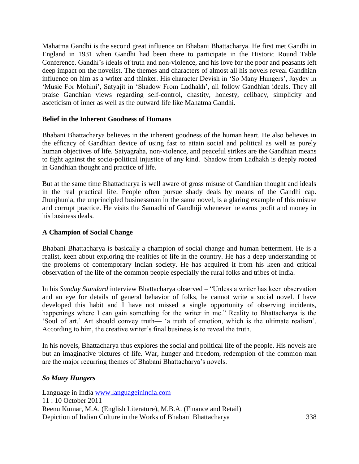Mahatma Gandhi is the second great influence on Bhabani Bhattacharya. He first met Gandhi in England in 1931 when Gandhi had been there to participate in the Historic Round Table Conference. Gandhi's ideals of truth and non-violence, and his love for the poor and peasants left deep impact on the novelist. The themes and characters of almost all his novels reveal Gandhian influence on him as a writer and thinker. His character Devish in 'So Many Hungers', Jaydev in 'Music For Mohini', Satyajit in 'Shadow From Ladhakh', all follow Gandhian ideals. They all praise Gandhian views regarding self-control, chastity, honesty, celibacy, simplicity and asceticism of inner as well as the outward life like Mahatma Gandhi.

### **Belief in the Inherent Goodness of Humans**

Bhabani Bhattacharya believes in the inherent goodness of the human heart. He also believes in the efficacy of Gandhian device of using fast to attain social and political as well as purely human objectives of life. Satyagraha, non-violence, and peaceful strikes are the Gandhian means to fight against the socio-political injustice of any kind. Shadow from Ladhakh is deeply rooted in Gandhian thought and practice of life.

But at the same time Bhattacharya is well aware of gross misuse of Gandhian thought and ideals in the real practical life. People often pursue shady deals by means of the Gandhi cap. Jhunjhunia, the unprincipled businessman in the same novel, is a glaring example of this misuse and corrupt practice. He visits the Samadhi of Gandhiji whenever he earns profit and money in his business deals.

#### **A Champion of Social Change**

Bhabani Bhattacharya is basically a champion of social change and human betterment. He is a realist, keen about exploring the realities of life in the country. He has a deep understanding of the problems of contemporary Indian society. He has acquired it from his keen and critical observation of the life of the common people especially the rural folks and tribes of India.

In his *Sunday Standard* interview Bhattacharya observed – "Unless a writer has keen observation and an eye for details of general behavior of folks, he cannot write a social novel. I have developed this habit and I have not missed a single opportunity of observing incidents, happenings where I can gain something for the writer in me." Reality to Bhattacharya is the ‗Soul of art.' Art should convey truth— ‗a truth of emotion, which is the ultimate realism'. According to him, the creative writer's final business is to reveal the truth.

In his novels, Bhattacharya thus explores the social and political life of the people. His novels are but an imaginative pictures of life. War, hunger and freedom, redemption of the common man are the major recurring themes of Bhabani Bhattacharya's novels.

#### *So Many Hungers*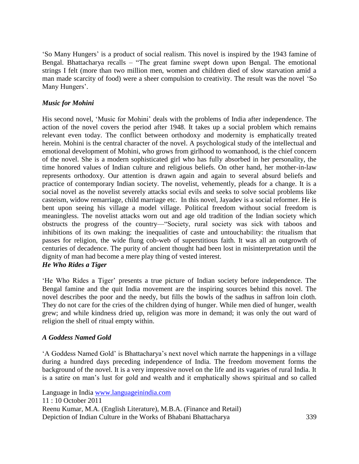‗So Many Hungers' is a product of social realism. This novel is inspired by the 1943 famine of Bengal. Bhattacharya recalls – "The great famine swept down upon Bengal. The emotional strings I felt (more than two million men, women and children died of slow starvation amid a man made scarcity of food) were a sheer compulsion to creativity. The result was the novel 'So Many Hungers'.

# *Music for Mohini*

His second novel, 'Music for Mohini' deals with the problems of India after independence. The action of the novel covers the period after 1948. It takes up a social problem which remains relevant even today. The conflict between orthodoxy and modernity is emphatically treated herein. Mohini is the central character of the novel. A psychological study of the intellectual and emotional development of Mohini, who grows from girlhood to womanhood, is the chief concern of the novel. She is a modern sophisticated girl who has fully absorbed in her personality, the time honored values of Indian culture and religious beliefs. On other hand, her mother-in-law represents orthodoxy. Our attention is drawn again and again to several absurd beliefs and practice of contemporary Indian society. The novelist, vehemently, pleads for a change. It is a social novel as the novelist severely attacks social evils and seeks to solve social problems like casteism, widow remarriage, child marriage etc. In this novel, Jayadev is a social reformer. He is bent upon seeing his village a model village. Political freedom without social freedom is meaningless. The novelist attacks worn out and age old tradition of the Indian society which obstructs the progress of the country—"Society, rural society was sick with taboos and inhibitions of its own making: the inequalities of caste and untouchability: the ritualism that passes for religion, the wide flung cob-web of superstitious faith. It was all an outgrowth of centuries of decadence. The purity of ancient thought had been lost in misinterpretation until the dignity of man had become a mere play thing of vested interest.

# *He Who Rides a Tiger*

‗He Who Rides a Tiger' presents a true picture of Indian society before independence. The Bengal famine and the quit India movement are the inspiring sources behind this novel. The novel describes the poor and the needy, but fills the bowls of the sadhus in saffron loin cloth. They do not care for the cries of the children dying of hunger. While men died of hunger, wealth grew; and while kindness dried up, religion was more in demand; it was only the out ward of religion the shell of ritual empty within.

#### *A Goddess Named Gold*

‗A Goddess Named Gold' is Bhattacharya's next novel which narrate the happenings in a village during a hundred days preceding independence of India. The freedom movement forms the background of the novel. It is a very impressive novel on the life and its vagaries of rural India. It is a satire on man's lust for gold and wealth and it emphatically shows spiritual and so called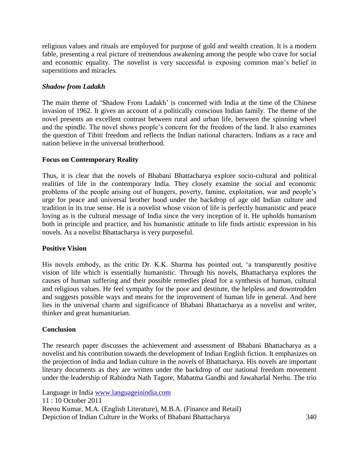religious values and rituals are employed for purpose of gold and wealth creation. It is a modern fable, presenting a real picture of tremendous awakening among the people who crave for social and economic equality. The novelist is very successful is exposing common man's belief in superstitions and miracles.

# *Shadow from Ladakh*

The main theme of ‗Shadow From Ladakh' is concerned with India at the time of the Chinese invasion of 1962. It gives an account of a politically conscious Indian family. The theme of the novel presents an excellent contrast between rural and urban life, between the spinning wheel and the spindle. The novel shows people's concern for the freedom of the land. It also examines the question of Tibiti freedom and reflects the Indian national characters. Indians as a race and nation believe in the universal brotherhood.

### **Focus on Contemporary Reality**

Thus, it is clear that the novels of Bhabani Bhattacharya explore socio-cultural and political realities of life in the contemporary India. They closely examine the social and economic problems of the people arising out of hungers, poverty, famine, exploitation, war and people's urge for peace and universal brother hood under the backdrop of age old Indian culture and tradition in its true sense. He is a novelist whose vision of life is perfectly humanistic and peace loving as is the cultural message of India since the very inception of it. He upholds humanism both in principle and practice, and his humanistic attitude to life finds artistic expression in his novels. As a novelist Bhattacharya is very purposeful.

#### **Positive Vision**

His novels embody, as the critic Dr. K.K. Sharma has pointed out, 'a transparently positive vision of life which is essentially humanistic. Through his novels, Bhattacharya explores the causes of human suffering and their possible remedies plead for a synthesis of human, cultural and religious values. He feel sympathy for the poor and destitute, the helpless and downtrodden and suggests possible ways and means for the improvement of human life in general. And here lies in the universal charm and significance of Bhabani Bhattacharya as a novelist and writer, thinker and great humanitarian.

#### **Conclusion**

The research paper discusses the achievement and assessment of Bhabani Bhattacharya as a novelist and his contribution towards the development of Indian English fiction. It emphasizes on the projection of India and Indian culture in the novels of Bhattacharya. His novels are important literary documents as they are written under the backdrop of our national freedom movement under the leadership of Rabindra Nath Tagore, Mahatma Gandhi and Jawaharlal Nerhu. The trio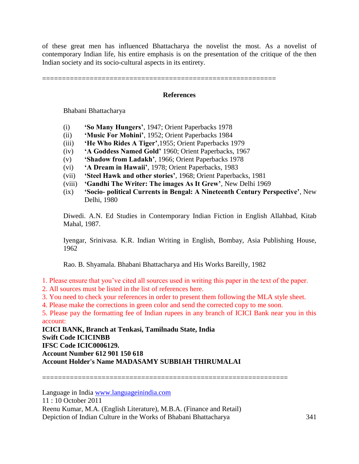of these great men has influenced Bhattacharya the novelist the most. As a novelist of contemporary Indian life, his entire emphasis is on the presentation of the critique of the then Indian society and its socio-cultural aspects in its entirety.

===========================================================

#### **References**

Bhabani Bhattacharya

- (i) **'So Many Hungers'**, 1947; Orient Paperbacks 1978
- (ii) **'Music For Mohini'**, 1952; Orient Paperbacks 1984
- (iii) **'He Who Rides A Tiger'**,1955; Orient Paperbacks 1979
- (iv) **'A Goddess Named Gold'** 1960; Orient Paperbacks, 1967
- (v) **'Shadow from Ladakh'**, 1966; Orient Paperbacks 1978
- (vi) **'A Dream in Hawaii'**, 1978; Orient Paperbacks, 1983
- (vii) **'Steel Hawk and other stories'**, 1968; Orient Paperbacks, 1981
- (viii) **'Gandhi The Writer: The images As It Grew'**, New Delhi 1969
- (ix) **'Socio- political Currents in Bengal: A Nineteenth Century Perspective'**, New Delhi, 1980

Diwedi. A.N. Ed Studies in Contemporary Indian Fiction in English Allahbad, Kitab Mahal, 1987.

Iyengar, Srinivasa. K.R. Indian Writing in English, Bombay, Asia Publishing House, 1962

Rao. B. Shyamala. Bhabani Bhattacharya and His Works Bareilly, 1982

1. Please ensure that you've cited all sources used in writing this paper in the text of the paper.

- 2. All sources must be listed in the list of references here.
- 3. You need to check your references in order to present them following the MLA style sheet.
- 4. Please make the corrections in green color and send the corrected copy to me soon.

5. Please pay the formatting fee of Indian rupees in any branch of ICICI Bank near you in this account:

**ICICI BANK, Branch at Tenkasi, Tamilnadu State, India Swift Code ICICINBB IFSC Code ICIC0006129. Account Number 612 901 150 618 Account Holder's Name MADASAMY SUBBIAH THIRUMALAI**

==============================================================